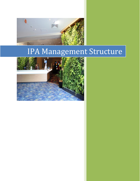

# IPA Management Structure

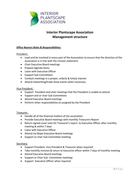

# **Interior Plantscape Association Management structure**

# **Office Bearers Roles & Responsibilities:**

#### President:

- Lead and be involved in every part of the Association to ensure that the direction of the association is in line with the mission statement.
- Chair Executive Board meetings
- Prepare Agenda Items
- Liaise with Executive Officer
- Support Sub-Committees
- Conduct meetings in a proper, orderly & timely manner
- Attend networking/trade show events when necessary

#### Vice President:

- Support President and chair meetings that the President is unable to attend
- Support and or chair Sub-Committees
- Attend Executive Board meetings
- Perform other responsibilities as assigned by the President

#### Treasurer:

- Handle all of the financial matters of the association
- Provide Executive Board meetings with monthly Treasurers Report
- Return signed cover note for Treasurer's report to Executive Officer after monthly meeting & within 7 days
- $\bullet$  Liaise with Executive Officer
- Attend via Skype Executive Board meetings
- Support or chair Sub-Committee meeting

#### Secretary:

- Support President, Vice President & Treasurer when required
- Take monthly minutes & return to Executive officer within 7 days of monthly meeting
- Attend Executive Board meetings
- Support or Chair Sub -Committee meetings
- Support Executive Officer when required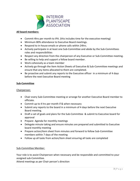

# **All board members:**

- Commit 4hrs per month to IPA. (this includes time for the executive meeting)
- Minimum 80% attendance to Executive Board meetings.
- Respond to in-house emails or phone calls within 24hrs.
- Actively participate in at least one Sub-Committee and abide by the Sub-Committees roles and responsibilities
- Respect any direction from the chairperson of any Executive or Sub-Committee meeting.
- Be willing to help and support a fellow board member.
- Work cohesively as a team member
- Actively go through the Item Action Sheets of Executive & Sub-Committee meetings and ensure that any items allocated to them are completed.
- Be proactive and submit any reports to the Executive officer in a minimum of 4 days before the next Executive Board meeting

## **Sub-Committee**

#### Chairperson:

- Chair every Sub-Committee meeting or arrange for another Executive Board member to officiate.
- Commit up to 4 hrs per month if & when necessary
- Submit any reports to the board in a minimum of 4 days before the next Executive Board meeting.
- Draft a set of goals and plans for the Sub-Committee & submit to Executive board for approval
- Prepare Agenda for monthly meetings
- Delegate minute taking and ensure minutes are prepared and submitted to Executive board monthly meeting
- Prepare action/item sheet from minutes and forward to fellow Sub-Committee members within 7 days of the meeting
- Follow up all tasks from action/item sheet ensuring all tasks are completed

# Sub-Committee Member:

Your role is to assist Chairperson when necessary and be responsible and committed to your assigned sub-Committee.

Attend meetings as per Chair person's direction